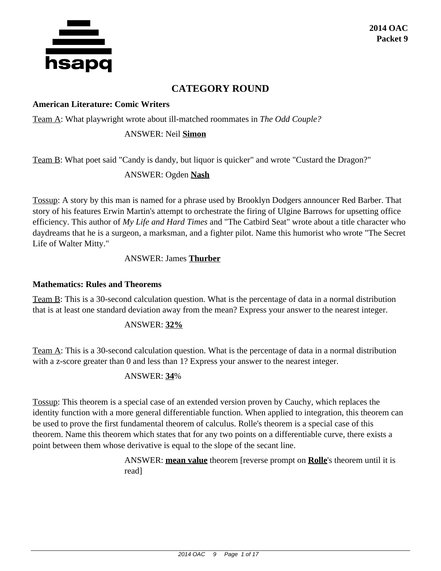

# **CATEGORY ROUND**

#### **American Literature: Comic Writers**

Team A: What playwright wrote about ill-matched roommates in *The Odd Couple?*

#### ANSWER: Neil **Simon**

Team B: What poet said "Candy is dandy, but liquor is quicker" and wrote "Custard the Dragon?"

ANSWER: Ogden **Nash**

Tossup: A story by this man is named for a phrase used by Brooklyn Dodgers announcer Red Barber. That story of his features Erwin Martin's attempt to orchestrate the firing of Ulgine Barrows for upsetting office efficiency. This author of *My Life and Hard Times* and "The Catbird Seat" wrote about a title character who daydreams that he is a surgeon, a marksman, and a fighter pilot. Name this humorist who wrote "The Secret Life of Walter Mitty."

#### ANSWER: James **Thurber**

#### **Mathematics: Rules and Theorems**

Team B: This is a 30-second calculation question. What is the percentage of data in a normal distribution that is at least one standard deviation away from the mean? Express your answer to the nearest integer.

#### ANSWER: **32%**

Team A: This is a 30-second calculation question. What is the percentage of data in a normal distribution with a z-score greater than 0 and less than 1? Express your answer to the nearest integer.

#### ANSWER: **34**%

Tossup: This theorem is a special case of an extended version proven by Cauchy, which replaces the identity function with a more general differentiable function. When applied to integration, this theorem can be used to prove the first fundamental theorem of calculus. Rolle's theorem is a special case of this theorem. Name this theorem which states that for any two points on a differentiable curve, there exists a point between them whose derivative is equal to the slope of the secant line.

> ANSWER: **mean value** theorem [reverse prompt on **Rolle**'s theorem until it is read]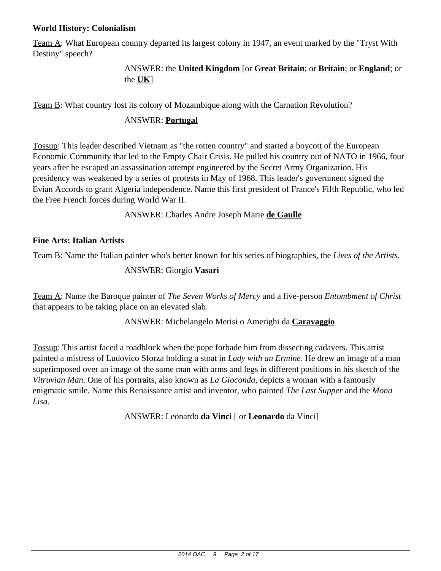#### **World History: Colonialism**

Team A: What European country departed its largest colony in 1947, an event marked by the "Tryst With Destiny" speech?

## ANSWER: the **United Kingdom** [or **Great Britain**; or **Britain**; or **England**; or the **UK**]

Team B: What country lost its colony of Mozambique along with the Carnation Revolution?

### ANSWER: **Portugal**

Tossup: This leader described Vietnam as "the rotten country" and started a boycott of the European Economic Community that led to the Empty Chair Crisis. He pulled his country out of NATO in 1966, four years after he escaped an assassination attempt engineered by the Secret Army Organization. His presidency was weakened by a series of protests in May of 1968. This leader's government signed the Evian Accords to grant Algeria independence. Name this first president of France's Fifth Republic, who led the Free French forces during World War II.

ANSWER: Charles Andre Joseph Marie **de Gaulle**

### **Fine Arts: Italian Artists**

Team B: Name the Italian painter who's better known for his series of biographies, the *Lives of the Artists.*

#### ANSWER: Giorgio **Vasari**

Team A: Name the Baroque painter of *The Seven Works of Mercy* and a five-person *Entombment of Christ* that appears to be taking place on an elevated slab.

ANSWER: Michelangelo Merisi o Amerighi da **Caravaggio**

Tossup: This artist faced a roadblock when the pope forbade him from dissecting cadavers. This artist painted a mistress of Ludovico Sforza holding a stoat in *Lady with an Ermine*. He drew an image of a man superimposed over an image of the same man with arms and legs in different positions in his sketch of the *Vitruvian Man*. One of his portraits, also known as *La Gioconda*, depicts a woman with a famously enigmatic smile. Name this Renaissance artist and inventor, who painted *The Last Supper* and the *Mona Lisa*.

ANSWER: Leonardo **da Vinci** [ or **Leonardo** da Vinci]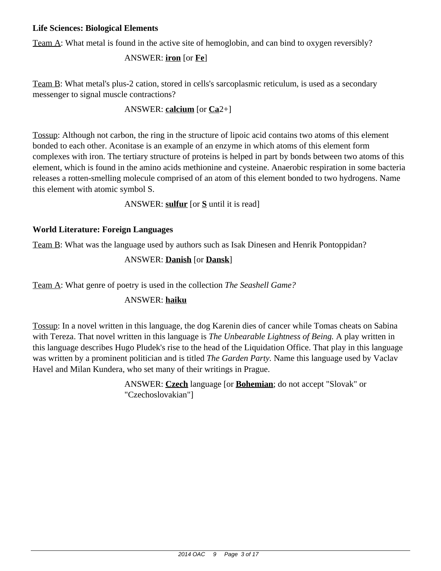#### **Life Sciences: Biological Elements**

Team A: What metal is found in the active site of hemoglobin, and can bind to oxygen reversibly?

ANSWER: **iron** [or **Fe**]

Team B: What metal's plus-2 cation, stored in cells's sarcoplasmic reticulum, is used as a secondary messenger to signal muscle contractions?

## ANSWER: **calcium** [or **Ca**2+]

Tossup: Although not carbon, the ring in the structure of lipoic acid contains two atoms of this element bonded to each other. Aconitase is an example of an enzyme in which atoms of this element form complexes with iron. The tertiary structure of proteins is helped in part by bonds between two atoms of this element, which is found in the amino acids methionine and cysteine. Anaerobic respiration in some bacteria releases a rotten-smelling molecule comprised of an atom of this element bonded to two hydrogens. Name this element with atomic symbol S.

ANSWER: **sulfur** [or **S** until it is read]

# **World Literature: Foreign Languages**

Team B: What was the language used by authors such as Isak Dinesen and Henrik Pontoppidan?

# ANSWER: **Danish** [or **Dansk**]

Team A: What genre of poetry is used in the collection *The Seashell Game?*

# ANSWER: **haiku**

Tossup: In a novel written in this language, the dog Karenin dies of cancer while Tomas cheats on Sabina with Tereza. That novel written in this language is *The Unbearable Lightness of Being.* A play written in this language describes Hugo Pludek's rise to the head of the Liquidation Office. That play in this language was written by a prominent politician and is titled *The Garden Party.* Name this language used by Vaclav Havel and Milan Kundera, who set many of their writings in Prague.

> ANSWER: **Czech** language [or **Bohemian**; do not accept "Slovak" or "Czechoslovakian"]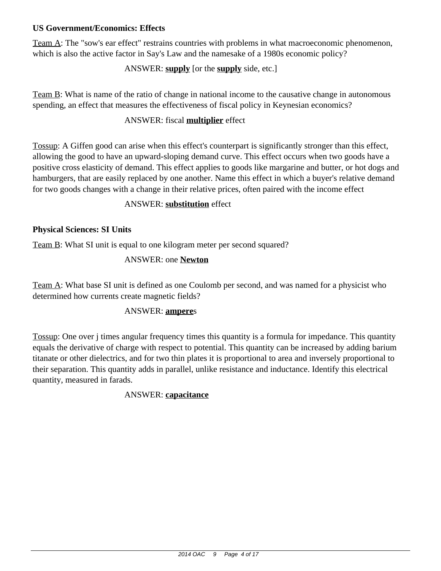#### **US Government/Economics: Effects**

Team A: The "sow's ear effect" restrains countries with problems in what macroeconomic phenomenon, which is also the active factor in Say's Law and the namesake of a 1980s economic policy?

## ANSWER: **supply** [or the **supply** side, etc.]

Team B: What is name of the ratio of change in national income to the causative change in autonomous spending, an effect that measures the effectiveness of fiscal policy in Keynesian economics?

#### ANSWER: fiscal **multiplier** effect

Tossup: A Giffen good can arise when this effect's counterpart is significantly stronger than this effect, allowing the good to have an upward-sloping demand curve. This effect occurs when two goods have a positive cross elasticity of demand. This effect applies to goods like margarine and butter, or hot dogs and hamburgers, that are easily replaced by one another. Name this effect in which a buyer's relative demand for two goods changes with a change in their relative prices, often paired with the income effect

#### ANSWER: **substitution** effect

### **Physical Sciences: SI Units**

Team B: What SI unit is equal to one kilogram meter per second squared?

### ANSWER: one **Newton**

Team A: What base SI unit is defined as one Coulomb per second, and was named for a physicist who determined how currents create magnetic fields?

#### ANSWER: **ampere**s

Tossup: One over j times angular frequency times this quantity is a formula for impedance. This quantity equals the derivative of charge with respect to potential. This quantity can be increased by adding barium titanate or other dielectrics, and for two thin plates it is proportional to area and inversely proportional to their separation. This quantity adds in parallel, unlike resistance and inductance. Identify this electrical quantity, measured in farads.

#### ANSWER: **capacitance**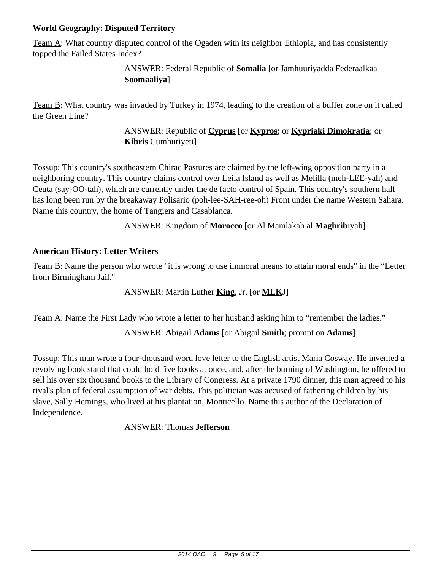## **World Geography: Disputed Territory**

Team A: What country disputed control of the Ogaden with its neighbor Ethiopia, and has consistently topped the Failed States Index?

## ANSWER: Federal Republic of **Somalia** [or Jamhuuriyadda Federaalkaa **Soomaaliya**]

Team B: What country was invaded by Turkey in 1974, leading to the creation of a buffer zone on it called the Green Line?

> ANSWER: Republic of **Cyprus** [or **Kypros**; or **Kypriaki Dimokratia**; or **Kibris** Cumhuriyeti]

Tossup: This country's southeastern Chirac Pastures are claimed by the left-wing opposition party in a neighboring country. This country claims control over Leila Island as well as Melilla (meh-LEE-yah) and Ceuta (say-OO-tah), which are currently under the de facto control of Spain. This country's southern half has long been run by the breakaway Polisario (poh-lee-SAH-ree-oh) Front under the name Western Sahara. Name this country, the home of Tangiers and Casablanca.

ANSWER: Kingdom of **Morocco** [or Al Mamlakah al **Maghrib**iyah]

### **American History: Letter Writers**

Team B: Name the person who wrote "it is wrong to use immoral means to attain moral ends" in the "Letter from Birmingham Jail."

ANSWER: Martin Luther **King**, Jr. [or **MLK**J]

Team A: Name the First Lady who wrote a letter to her husband asking him to "remember the ladies."

ANSWER: **A**bigail **Adams** [or Abigail **Smith**; prompt on **Adams**]

Tossup: This man wrote a four-thousand word love letter to the English artist Maria Cosway. He invented a revolving book stand that could hold five books at once, and, after the burning of Washington, he offered to sell his over six thousand books to the Library of Congress. At a private 1790 dinner, this man agreed to his rival's plan of federal assumption of war debts. This politician was accused of fathering children by his slave, Sally Hemings, who lived at his plantation, Monticello. Name this author of the Declaration of Independence.

ANSWER: Thomas **Jefferson**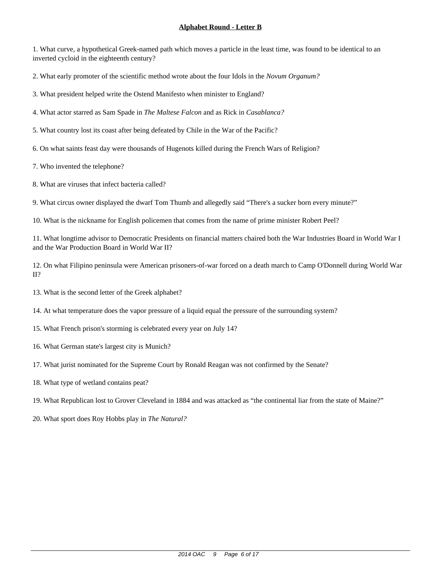1. What curve, a hypothetical Greek-named path which moves a particle in the least time, was found to be identical to an inverted cycloid in the eighteenth century?

2. What early promoter of the scientific method wrote about the four Idols in the *Novum Organum?*

3. What president helped write the Ostend Manifesto when minister to England?

4. What actor starred as Sam Spade in *The Maltese Falcon* and as Rick in *Casablanca?*

5. What country lost its coast after being defeated by Chile in the War of the Pacific?

6. On what saints feast day were thousands of Hugenots killed during the French Wars of Religion?

7. Who invented the telephone?

8. What are viruses that infect bacteria called?

9. What circus owner displayed the dwarf Tom Thumb and allegedly said "There's a sucker born every minute?"

10. What is the nickname for English policemen that comes from the name of prime minister Robert Peel?

11. What longtime advisor to Democratic Presidents on financial matters chaired both the War Industries Board in World War I and the War Production Board in World War II?

12. On what Filipino peninsula were American prisoners-of-war forced on a death march to Camp O'Donnell during World War II?

- 14. At what temperature does the vapor pressure of a liquid equal the pressure of the surrounding system?
- 15. What French prison's storming is celebrated every year on July 14?
- 16. What German state's largest city is Munich?
- 17. What jurist nominated for the Supreme Court by Ronald Reagan was not confirmed by the Senate?
- 18. What type of wetland contains peat?
- 19. What Republican lost to Grover Cleveland in 1884 and was attacked as "the continental liar from the state of Maine?"
- 20. What sport does Roy Hobbs play in *The Natural?*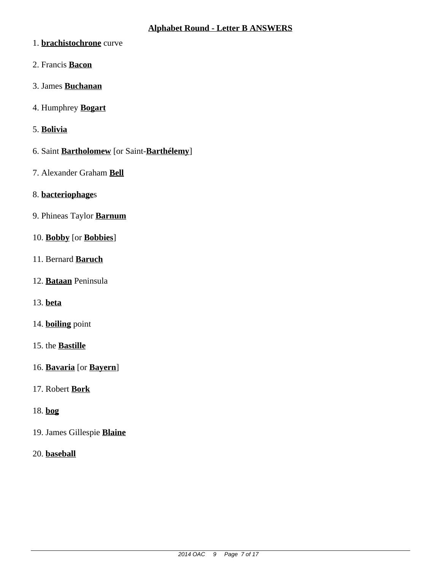- 1. **brachistochrone** curve
- 2. Francis **Bacon**
- 3. James **Buchanan**
- 4. Humphrey **Bogart**
- 5. **Bolivia**
- 6. Saint **Bartholomew** [or Saint-**Barthélemy**]
- 7. Alexander Graham **Bell**
- 8. **bacteriophage**s
- 9. Phineas Taylor **Barnum**
- 10. **Bobby** [or **Bobbies**]
- 11. Bernard **Baruch**
- 12. **Bataan** Peninsula
- 13. **beta**
- 14. **boiling** point
- 15. the **Bastille**
- 16. **Bavaria** [or **Bayern**]
- 17. Robert **Bork**
- 18. **bog**
- 19. James Gillespie **Blaine**
- 20. **baseball**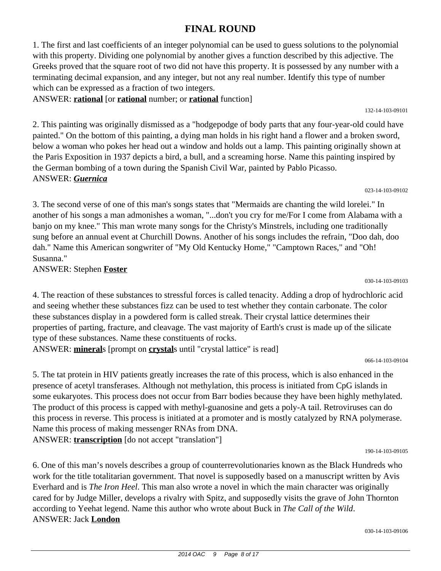# **FINAL ROUND**

1. The first and last coefficients of an integer polynomial can be used to guess solutions to the polynomial with this property. Dividing one polynomial by another gives a function described by this adjective. The Greeks proved that the square root of two did not have this property. It is possessed by any number with a terminating decimal expansion, and any integer, but not any real number. Identify this type of number which can be expressed as a fraction of two integers.

ANSWER: **rational** [or **rational** number; or **rational** function]

2. This painting was originally dismissed as a "hodgepodge of body parts that any four-year-old could have painted." On the bottom of this painting, a dying man holds in his right hand a flower and a broken sword, below a woman who pokes her head out a window and holds out a lamp. This painting originally shown at the Paris Exposition in 1937 depicts a bird, a bull, and a screaming horse. Name this painting inspired by the German bombing of a town during the Spanish Civil War, painted by Pablo Picasso. ANSWER: *Guernica*

3. The second verse of one of this man's songs states that "Mermaids are chanting the wild lorelei." In another of his songs a man admonishes a woman, "...don't you cry for me/For I come from Alabama with a banjo on my knee." This man wrote many songs for the Christy's Minstrels, including one traditionally sung before an annual event at Churchill Downs. Another of his songs includes the refrain, "Doo dah, doo dah." Name this American songwriter of "My Old Kentucky Home," "Camptown Races," and "Oh! Susanna."

ANSWER: Stephen **Foster**

4. The reaction of these substances to stressful forces is called tenacity. Adding a drop of hydrochloric acid and seeing whether these substances fizz can be used to test whether they contain carbonate. The color these substances display in a powdered form is called streak. Their crystal lattice determines their properties of parting, fracture, and cleavage. The vast majority of Earth's crust is made up of the silicate type of these substances. Name these constituents of rocks.

ANSWER: **mineral**s [prompt on **crystal**s until "crystal lattice" is read]

066-14-103-09104

5. The tat protein in HIV patients greatly increases the rate of this process, which is also enhanced in the presence of acetyl transferases. Although not methylation, this process is initiated from CpG islands in some eukaryotes. This process does not occur from Barr bodies because they have been highly methylated. The product of this process is capped with methyl-guanosine and gets a poly-A tail. Retroviruses can do this process in reverse. This process is initiated at a promoter and is mostly catalyzed by RNA polymerase. Name this process of making messenger RNAs from DNA. ANSWER: **transcription** [do not accept "translation"]

190-14-103-09105

6. One of this man's novels describes a group of counterrevolutionaries known as the Black Hundreds who work for the title totalitarian government. That novel is supposedly based on a manuscript written by Avis Everhard and is *The Iron Heel*. This man also wrote a novel in which the main character was originally cared for by Judge Miller, develops a rivalry with Spitz, and supposedly visits the grave of John Thornton according to Yeehat legend. Name this author who wrote about Buck in *The Call of the Wild*. ANSWER: Jack **London**

030-14-103-09106

030-14-103-09103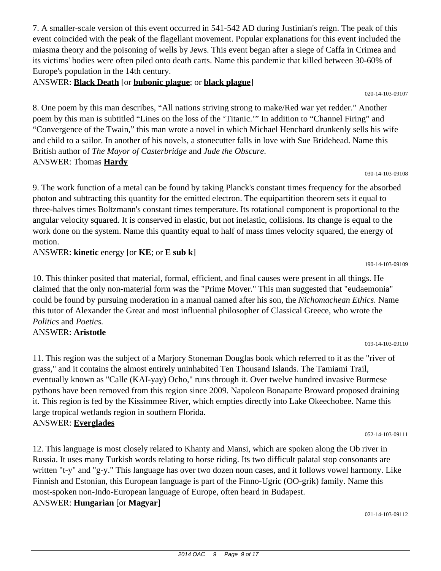7. A smaller-scale version of this event occurred in 541-542 AD during Justinian's reign. The peak of this event coincided with the peak of the flagellant movement. Popular explanations for this event included the miasma theory and the poisoning of wells by Jews. This event began after a siege of Caffa in Crimea and its victims' bodies were often piled onto death carts. Name this pandemic that killed between 30-60% of Europe's population in the 14th century.

ANSWER: **Black Death** [or **bubonic plague**; or **black plague**]

8. One poem by this man describes, "All nations striving strong to make/Red war yet redder." Another poem by this man is subtitled "Lines on the loss of the 'Titanic.'" In addition to "Channel Firing" and "Convergence of the Twain," this man wrote a novel in which Michael Henchard drunkenly sells his wife and child to a sailor. In another of his novels, a stonecutter falls in love with Sue Bridehead. Name this British author of *The Mayor of Casterbridge* and *Jude the Obscure*. ANSWER: Thomas **Hardy**

030-14-103-09108

020-14-103-09107

9. The work function of a metal can be found by taking Planck's constant times frequency for the absorbed photon and subtracting this quantity for the emitted electron. The equipartition theorem sets it equal to three-halves times Boltzmann's constant times temperature. Its rotational component is proportional to the angular velocity squared. It is conserved in elastic, but not inelastic, collisions. Its change is equal to the work done on the system. Name this quantity equal to half of mass times velocity squared, the energy of motion.

ANSWER: **kinetic** energy [or **KE**; or **E sub k**]

10. This thinker posited that material, formal, efficient, and final causes were present in all things. He claimed that the only non-material form was the "Prime Mover." This man suggested that "eudaemonia" could be found by pursuing moderation in a manual named after his son, the *Nichomachean Ethics.* Name this tutor of Alexander the Great and most influential philosopher of Classical Greece, who wrote the *Politics* and *Poetics.*

ANSWER: **Aristotle**

11. This region was the subject of a Marjory Stoneman Douglas book which referred to it as the "river of grass," and it contains the almost entirely uninhabited Ten Thousand Islands. The Tamiami Trail, eventually known as "Calle (KAI-yay) Ocho," runs through it. Over twelve hundred invasive Burmese pythons have been removed from this region since 2009. Napoleon Bonaparte Broward proposed draining it. This region is fed by the Kissimmee River, which empties directly into Lake Okeechobee. Name this large tropical wetlands region in southern Florida. ANSWER: **Everglades**

052-14-103-09111

12. This language is most closely related to Khanty and Mansi, which are spoken along the Ob river in Russia. It uses many Turkish words relating to horse riding. Its two difficult palatal stop consonants are written "t-y" and "g-y." This language has over two dozen noun cases, and it follows vowel harmony. Like Finnish and Estonian, this European language is part of the Finno-Ugric (OO-grik) family. Name this most-spoken non-Indo-European language of Europe, often heard in Budapest. ANSWER: **Hungarian** [or **Magyar**]

021-14-103-09112

#### 190-14-103-09109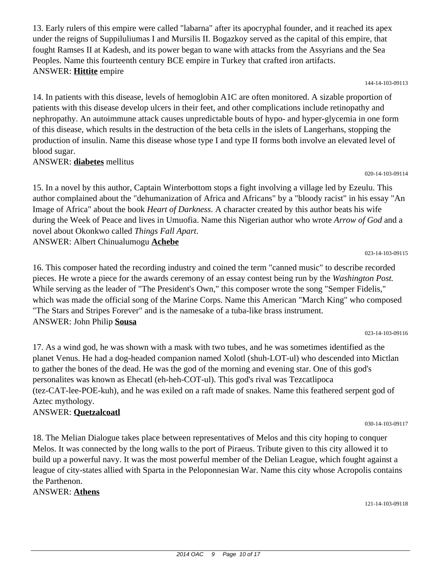13. Early rulers of this empire were called "labarna" after its apocryphal founder, and it reached its apex under the reigns of Suppiluliumas I and Mursilis II. Bogazkoy served as the capital of this empire, that fought Ramses II at Kadesh, and its power began to wane with attacks from the Assyrians and the Sea Peoples. Name this fourteenth century BCE empire in Turkey that crafted iron artifacts. ANSWER: **Hittite** empire

144-14-103-09113

020-14-103-09114

023-14-103-09115

023-14-103-09116

14. In patients with this disease, levels of hemoglobin A1C are often monitored. A sizable proportion of patients with this disease develop ulcers in their feet, and other complications include retinopathy and nephropathy. An autoimmune attack causes unpredictable bouts of hypo- and hyper-glycemia in one form of this disease, which results in the destruction of the beta cells in the islets of Langerhans, stopping the production of insulin. Name this disease whose type I and type II forms both involve an elevated level of blood sugar.

ANSWER: **diabetes** mellitus

15. In a novel by this author, Captain Winterbottom stops a fight involving a village led by Ezeulu. This author complained about the "dehumanization of Africa and Africans" by a "bloody racist" in his essay "An Image of Africa" about the book *Heart of Darkness*. A character created by this author beats his wife during the Week of Peace and lives in Umuofia. Name this Nigerian author who wrote *Arrow of God* and a novel about Okonkwo called *Things Fall Apart*. ANSWER: Albert Chinualumogu **Achebe**

16. This composer hated the recording industry and coined the term "canned music" to describe recorded pieces. He wrote a piece for the awards ceremony of an essay contest being run by the *Washington Post.* While serving as the leader of "The President's Own," this composer wrote the song "Semper Fidelis," which was made the official song of the Marine Corps. Name this American "March King" who composed "The Stars and Stripes Forever" and is the namesake of a tuba-like brass instrument. ANSWER: John Philip **Sousa**

17. As a wind god, he was shown with a mask with two tubes, and he was sometimes identified as the planet Venus. He had a dog-headed companion named Xolotl (shuh-LOT-ul) who descended into Mictlan to gather the bones of the dead. He was the god of the morning and evening star. One of this god's personalites was known as Ehecatl (eh-heh-COT-ul). This god's rival was Tezcatlipoca (tez-CAT-lee-POE-kuh), and he was exiled on a raft made of snakes. Name this feathered serpent god of Aztec mythology.

## ANSWER: **Quetzalcoatl**

18. The Melian Dialogue takes place between representatives of Melos and this city hoping to conquer Melos. It was connected by the long walls to the port of Piraeus. Tribute given to this city allowed it to build up a powerful navy. It was the most powerful member of the Delian League, which fought against a league of city-states allied with Sparta in the Peloponnesian War. Name this city whose Acropolis contains the Parthenon.

## ANSWER: **Athens**

121-14-103-09118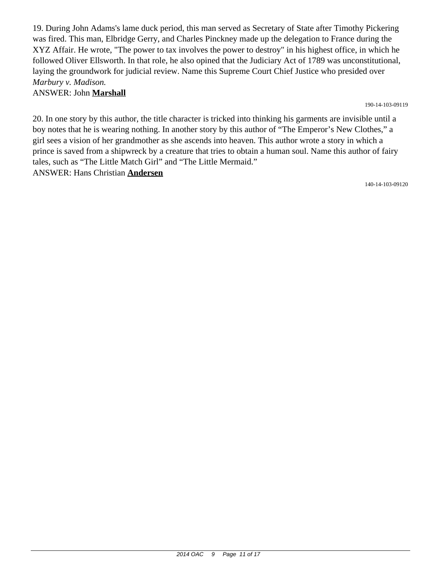19. During John Adams's lame duck period, this man served as Secretary of State after Timothy Pickering was fired. This man, Elbridge Gerry, and Charles Pinckney made up the delegation to France during the XYZ Affair. He wrote, "The power to tax involves the power to destroy" in his highest office, in which he followed Oliver Ellsworth. In that role, he also opined that the Judiciary Act of 1789 was unconstitutional, laying the groundwork for judicial review. Name this Supreme Court Chief Justice who presided over *Marbury v. Madison.*

#### ANSWER: John **Marshall**

190-14-103-09119

20. In one story by this author, the title character is tricked into thinking his garments are invisible until a boy notes that he is wearing nothing. In another story by this author of "The Emperor's New Clothes," a girl sees a vision of her grandmother as she ascends into heaven. This author wrote a story in which a prince is saved from a shipwreck by a creature that tries to obtain a human soul. Name this author of fairy tales, such as "The Little Match Girl" and "The Little Mermaid." ANSWER: Hans Christian **Andersen**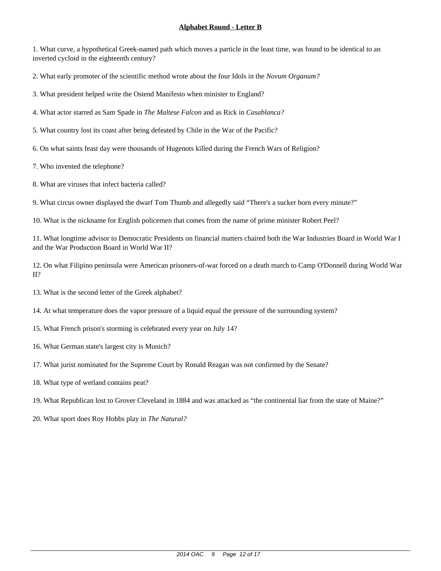1. What curve, a hypothetical Greek-named path which moves a particle in the least time, was found to be identical to an inverted cycloid in the eighteenth century?

2. What early promoter of the scientific method wrote about the four Idols in the *Novum Organum?*

3. What president helped write the Ostend Manifesto when minister to England?

4. What actor starred as Sam Spade in *The Maltese Falcon* and as Rick in *Casablanca?*

5. What country lost its coast after being defeated by Chile in the War of the Pacific?

6. On what saints feast day were thousands of Hugenots killed during the French Wars of Religion?

7. Who invented the telephone?

8. What are viruses that infect bacteria called?

9. What circus owner displayed the dwarf Tom Thumb and allegedly said "There's a sucker born every minute?"

10. What is the nickname for English policemen that comes from the name of prime minister Robert Peel?

11. What longtime advisor to Democratic Presidents on financial matters chaired both the War Industries Board in World War I and the War Production Board in World War II?

12. On what Filipino peninsula were American prisoners-of-war forced on a death march to Camp O'Donnell during World War II?

- 14. At what temperature does the vapor pressure of a liquid equal the pressure of the surrounding system?
- 15. What French prison's storming is celebrated every year on July 14?
- 16. What German state's largest city is Munich?
- 17. What jurist nominated for the Supreme Court by Ronald Reagan was not confirmed by the Senate?
- 18. What type of wetland contains peat?
- 19. What Republican lost to Grover Cleveland in 1884 and was attacked as "the continental liar from the state of Maine?"
- 20. What sport does Roy Hobbs play in *The Natural?*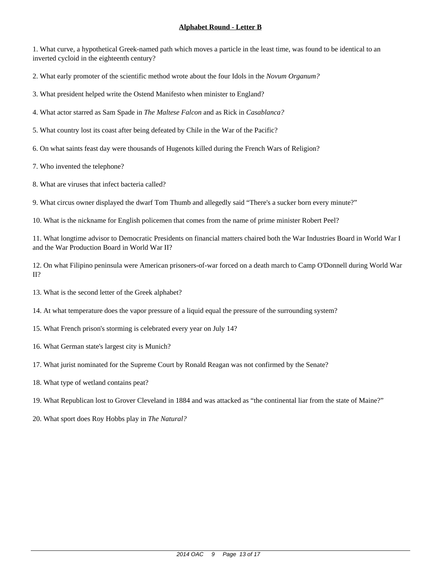1. What curve, a hypothetical Greek-named path which moves a particle in the least time, was found to be identical to an inverted cycloid in the eighteenth century?

2. What early promoter of the scientific method wrote about the four Idols in the *Novum Organum?*

3. What president helped write the Ostend Manifesto when minister to England?

4. What actor starred as Sam Spade in *The Maltese Falcon* and as Rick in *Casablanca?*

5. What country lost its coast after being defeated by Chile in the War of the Pacific?

6. On what saints feast day were thousands of Hugenots killed during the French Wars of Religion?

7. Who invented the telephone?

8. What are viruses that infect bacteria called?

9. What circus owner displayed the dwarf Tom Thumb and allegedly said "There's a sucker born every minute?"

10. What is the nickname for English policemen that comes from the name of prime minister Robert Peel?

11. What longtime advisor to Democratic Presidents on financial matters chaired both the War Industries Board in World War I and the War Production Board in World War II?

12. On what Filipino peninsula were American prisoners-of-war forced on a death march to Camp O'Donnell during World War II?

- 14. At what temperature does the vapor pressure of a liquid equal the pressure of the surrounding system?
- 15. What French prison's storming is celebrated every year on July 14?
- 16. What German state's largest city is Munich?
- 17. What jurist nominated for the Supreme Court by Ronald Reagan was not confirmed by the Senate?
- 18. What type of wetland contains peat?
- 19. What Republican lost to Grover Cleveland in 1884 and was attacked as "the continental liar from the state of Maine?"
- 20. What sport does Roy Hobbs play in *The Natural?*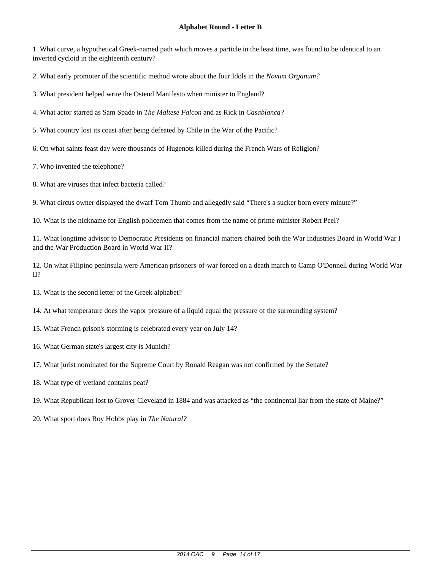1. What curve, a hypothetical Greek-named path which moves a particle in the least time, was found to be identical to an inverted cycloid in the eighteenth century?

2. What early promoter of the scientific method wrote about the four Idols in the *Novum Organum?*

3. What president helped write the Ostend Manifesto when minister to England?

4. What actor starred as Sam Spade in *The Maltese Falcon* and as Rick in *Casablanca?*

5. What country lost its coast after being defeated by Chile in the War of the Pacific?

6. On what saints feast day were thousands of Hugenots killed during the French Wars of Religion?

7. Who invented the telephone?

8. What are viruses that infect bacteria called?

9. What circus owner displayed the dwarf Tom Thumb and allegedly said "There's a sucker born every minute?"

10. What is the nickname for English policemen that comes from the name of prime minister Robert Peel?

11. What longtime advisor to Democratic Presidents on financial matters chaired both the War Industries Board in World War I and the War Production Board in World War II?

12. On what Filipino peninsula were American prisoners-of-war forced on a death march to Camp O'Donnell during World War II?

- 14. At what temperature does the vapor pressure of a liquid equal the pressure of the surrounding system?
- 15. What French prison's storming is celebrated every year on July 14?
- 16. What German state's largest city is Munich?
- 17. What jurist nominated for the Supreme Court by Ronald Reagan was not confirmed by the Senate?
- 18. What type of wetland contains peat?
- 19. What Republican lost to Grover Cleveland in 1884 and was attacked as "the continental liar from the state of Maine?"
- 20. What sport does Roy Hobbs play in *The Natural?*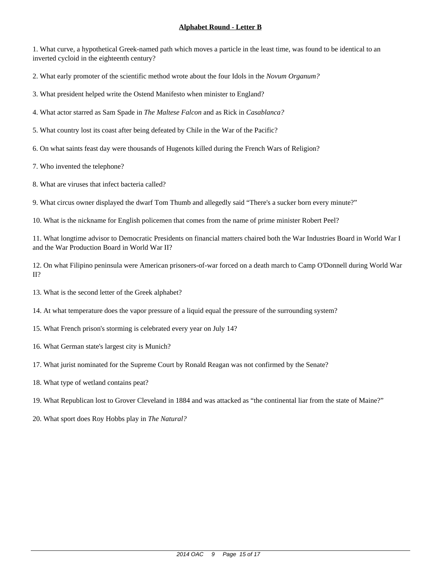1. What curve, a hypothetical Greek-named path which moves a particle in the least time, was found to be identical to an inverted cycloid in the eighteenth century?

2. What early promoter of the scientific method wrote about the four Idols in the *Novum Organum?*

3. What president helped write the Ostend Manifesto when minister to England?

4. What actor starred as Sam Spade in *The Maltese Falcon* and as Rick in *Casablanca?*

5. What country lost its coast after being defeated by Chile in the War of the Pacific?

6. On what saints feast day were thousands of Hugenots killed during the French Wars of Religion?

7. Who invented the telephone?

8. What are viruses that infect bacteria called?

9. What circus owner displayed the dwarf Tom Thumb and allegedly said "There's a sucker born every minute?"

10. What is the nickname for English policemen that comes from the name of prime minister Robert Peel?

11. What longtime advisor to Democratic Presidents on financial matters chaired both the War Industries Board in World War I and the War Production Board in World War II?

12. On what Filipino peninsula were American prisoners-of-war forced on a death march to Camp O'Donnell during World War II?

- 13. What is the second letter of the Greek alphabet?
- 14. At what temperature does the vapor pressure of a liquid equal the pressure of the surrounding system?
- 15. What French prison's storming is celebrated every year on July 14?
- 16. What German state's largest city is Munich?
- 17. What jurist nominated for the Supreme Court by Ronald Reagan was not confirmed by the Senate?
- 18. What type of wetland contains peat?
- 19. What Republican lost to Grover Cleveland in 1884 and was attacked as "the continental liar from the state of Maine?"
- 20. What sport does Roy Hobbs play in *The Natural?*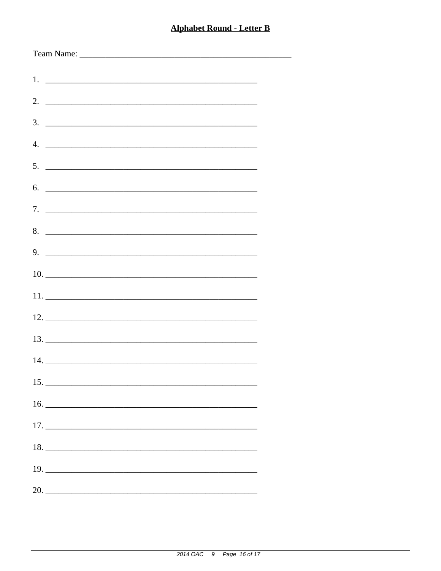-

| $1.$ $\frac{1}{2}$ $\frac{1}{2}$ $\frac{1}{2}$ $\frac{1}{2}$ $\frac{1}{2}$ $\frac{1}{2}$ $\frac{1}{2}$ $\frac{1}{2}$ $\frac{1}{2}$ $\frac{1}{2}$ $\frac{1}{2}$ $\frac{1}{2}$ $\frac{1}{2}$ $\frac{1}{2}$ $\frac{1}{2}$ $\frac{1}{2}$ $\frac{1}{2}$ $\frac{1}{2}$ $\frac{1}{2}$ $\frac{1}{2}$ $\frac{1}{2}$ $\frac{1}{$ |  |
|------------------------------------------------------------------------------------------------------------------------------------------------------------------------------------------------------------------------------------------------------------------------------------------------------------------------|--|
|                                                                                                                                                                                                                                                                                                                        |  |
| 3.                                                                                                                                                                                                                                                                                                                     |  |
| $\overline{4}$ .                                                                                                                                                                                                                                                                                                       |  |
| 5.                                                                                                                                                                                                                                                                                                                     |  |
| 6.                                                                                                                                                                                                                                                                                                                     |  |
|                                                                                                                                                                                                                                                                                                                        |  |
|                                                                                                                                                                                                                                                                                                                        |  |
| 8.                                                                                                                                                                                                                                                                                                                     |  |
| $9.$ $\overline{\phantom{1.55\,\mathrm{m}}\phantom{1.55\,\mathrm{m}}\phantom{1.55\,\mathrm{m}}\phantom{1.55\,\mathrm{m}}\phantom{1.55\,\mathrm{m}}}}$                                                                                                                                                                  |  |
|                                                                                                                                                                                                                                                                                                                        |  |
|                                                                                                                                                                                                                                                                                                                        |  |
|                                                                                                                                                                                                                                                                                                                        |  |
|                                                                                                                                                                                                                                                                                                                        |  |
|                                                                                                                                                                                                                                                                                                                        |  |
| 15.                                                                                                                                                                                                                                                                                                                    |  |
|                                                                                                                                                                                                                                                                                                                        |  |
|                                                                                                                                                                                                                                                                                                                        |  |
|                                                                                                                                                                                                                                                                                                                        |  |
|                                                                                                                                                                                                                                                                                                                        |  |
|                                                                                                                                                                                                                                                                                                                        |  |
|                                                                                                                                                                                                                                                                                                                        |  |